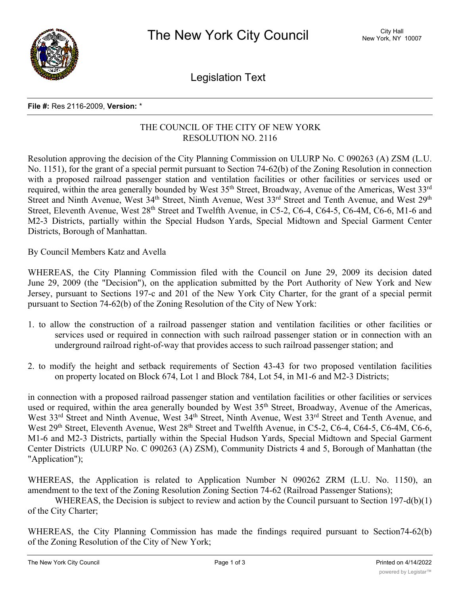

Legislation Text

## **File #:** Res 2116-2009, **Version:** \*

## THE COUNCIL OF THE CITY OF NEW YORK RESOLUTION NO. 2116

Resolution approving the decision of the City Planning Commission on ULURP No. C 090263 (A) ZSM (L.U. No. 1151), for the grant of a special permit pursuant to Section 74-62(b) of the Zoning Resolution in connection with a proposed railroad passenger station and ventilation facilities or other facilities or services used or required, within the area generally bounded by West 35<sup>th</sup> Street, Broadway, Avenue of the Americas, West 33<sup>rd</sup> Street and Ninth Avenue, West 34<sup>th</sup> Street, Ninth Avenue, West 33<sup>rd</sup> Street and Tenth Avenue, and West 29<sup>th</sup> Street, Eleventh Avenue, West 28<sup>th</sup> Street and Twelfth Avenue, in C5-2, C6-4, C64-5, C6-4M, C6-6, M1-6 and M2-3 Districts, partially within the Special Hudson Yards, Special Midtown and Special Garment Center Districts, Borough of Manhattan.

By Council Members Katz and Avella

WHEREAS, the City Planning Commission filed with the Council on June 29, 2009 its decision dated June 29, 2009 (the "Decision"), on the application submitted by the Port Authority of New York and New Jersey, pursuant to Sections 197-c and 201 of the New York City Charter, for the grant of a special permit pursuant to Section 74-62(b) of the Zoning Resolution of the City of New York:

- 1. to allow the construction of a railroad passenger station and ventilation facilities or other facilities or services used or required in connection with such railroad passenger station or in connection with an underground railroad right-of-way that provides access to such railroad passenger station; and
- 2. to modify the height and setback requirements of Section 43-43 for two proposed ventilation facilities on property located on Block 674, Lot 1 and Block 784, Lot 54, in M1-6 and M2-3 Districts;

in connection with a proposed railroad passenger station and ventilation facilities or other facilities or services used or required, within the area generally bounded by West 35<sup>th</sup> Street, Broadway, Avenue of the Americas, West 33<sup>rd</sup> Street and Ninth Avenue, West 34<sup>th</sup> Street, Ninth Avenue, West 33<sup>rd</sup> Street and Tenth Avenue, and West 29<sup>th</sup> Street, Eleventh Avenue, West 28<sup>th</sup> Street and Twelfth Avenue, in C5-2, C6-4, C64-5, C6-4M, C6-6, M1-6 and M2-3 Districts, partially within the Special Hudson Yards, Special Midtown and Special Garment Center Districts (ULURP No. C 090263 (A) ZSM), Community Districts 4 and 5, Borough of Manhattan (the "Application");

WHEREAS, the Application is related to Application Number N 090262 ZRM (L.U. No. 1150), an amendment to the text of the Zoning Resolution Zoning Section 74-62 (Railroad Passenger Stations);

WHEREAS, the Decision is subject to review and action by the Council pursuant to Section 197-d(b)(1) of the City Charter;

WHEREAS, the City Planning Commission has made the findings required pursuant to Section74-62(b) of the Zoning Resolution of the City of New York;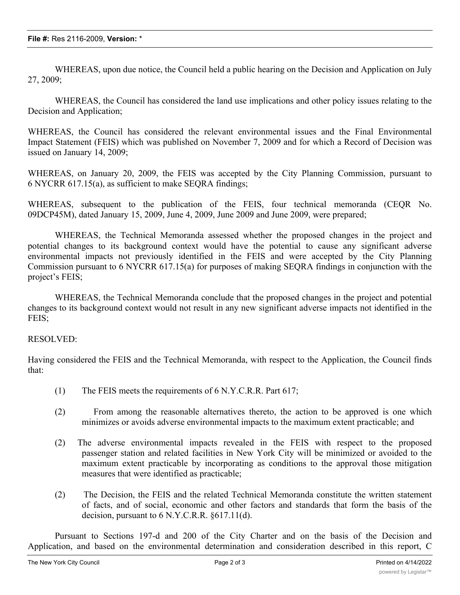WHEREAS, upon due notice, the Council held a public hearing on the Decision and Application on July 27, 2009;

WHEREAS, the Council has considered the land use implications and other policy issues relating to the Decision and Application;

WHEREAS, the Council has considered the relevant environmental issues and the Final Environmental Impact Statement (FEIS) which was published on November 7, 2009 and for which a Record of Decision was issued on January 14, 2009;

WHEREAS, on January 20, 2009, the FEIS was accepted by the City Planning Commission, pursuant to 6 NYCRR 617.15(a), as sufficient to make SEQRA findings;

WHEREAS, subsequent to the publication of the FEIS, four technical memoranda (CEQR No. 09DCP45M), dated January 15, 2009, June 4, 2009, June 2009 and June 2009, were prepared;

WHEREAS, the Technical Memoranda assessed whether the proposed changes in the project and potential changes to its background context would have the potential to cause any significant adverse environmental impacts not previously identified in the FEIS and were accepted by the City Planning Commission pursuant to 6 NYCRR 617.15(a) for purposes of making SEQRA findings in conjunction with the project's FEIS;

WHEREAS, the Technical Memoranda conclude that the proposed changes in the project and potential changes to its background context would not result in any new significant adverse impacts not identified in the FEIS;

## RESOLVED:

Having considered the FEIS and the Technical Memoranda, with respect to the Application, the Council finds that:

- (1) The FEIS meets the requirements of 6 N.Y.C.R.R. Part 617;
- (2) From among the reasonable alternatives thereto, the action to be approved is one which minimizes or avoids adverse environmental impacts to the maximum extent practicable; and
- (2) The adverse environmental impacts revealed in the FEIS with respect to the proposed passenger station and related facilities in New York City will be minimized or avoided to the maximum extent practicable by incorporating as conditions to the approval those mitigation measures that were identified as practicable;
- (2) The Decision, the FEIS and the related Technical Memoranda constitute the written statement of facts, and of social, economic and other factors and standards that form the basis of the decision, pursuant to 6 N.Y.C.R.R. §617.11(d).

Pursuant to Sections 197-d and 200 of the City Charter and on the basis of the Decision and Application, and based on the environmental determination and consideration described in this report, C